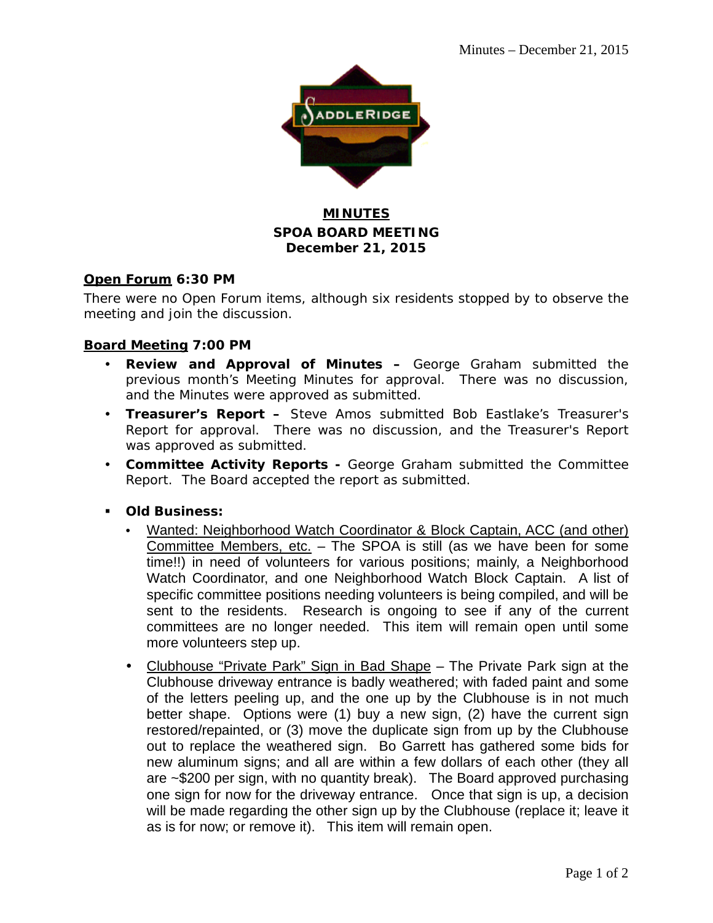

## **MINUTES SPOA BOARD MEETING December 21, 2015**

## **Open Forum 6:30 PM**

There were no Open Forum items, although six residents stopped by to observe the meeting and join the discussion.

## **Board Meeting 7:00 PM**

- **Review and Approval of Minutes –** George Graham submitted the previous month's Meeting Minutes for approval. There was no discussion, and the Minutes were approved as submitted.
- **Treasurer's Report –** Steve Amos submitted Bob Eastlake's Treasurer's Report for approval. There was no discussion, and the Treasurer's Report was approved as submitted.
- **Committee Activity Reports -** George Graham submitted the Committee Report. The Board accepted the report as submitted.
- **Old Business:**
	- Wanted: Neighborhood Watch Coordinator & Block Captain, ACC (and other) Committee Members, etc.  $-$  The SPOA is still (as we have been for some time!!) in need of volunteers for various positions; mainly, a Neighborhood Watch Coordinator, and one Neighborhood Watch Block Captain. A list of specific committee positions needing volunteers is being compiled, and will be sent to the residents. Research is ongoing to see if any of the current committees are no longer needed. This item will remain open until some more volunteers step up.
	- Clubhouse "Private Park" Sign in Bad Shape The Private Park sign at the Clubhouse driveway entrance is badly weathered; with faded paint and some of the letters peeling up, and the one up by the Clubhouse is in not much better shape. Options were (1) buy a new sign, (2) have the current sign restored/repainted, or (3) move the duplicate sign from up by the Clubhouse out to replace the weathered sign. Bo Garrett has gathered some bids for new aluminum signs; and all are within a few dollars of each other (they all are ~\$200 per sign, with no quantity break). The Board approved purchasing one sign for now for the driveway entrance. Once that sign is up, a decision will be made regarding the other sign up by the Clubhouse (replace it; leave it as is for now; or remove it). This item will remain open.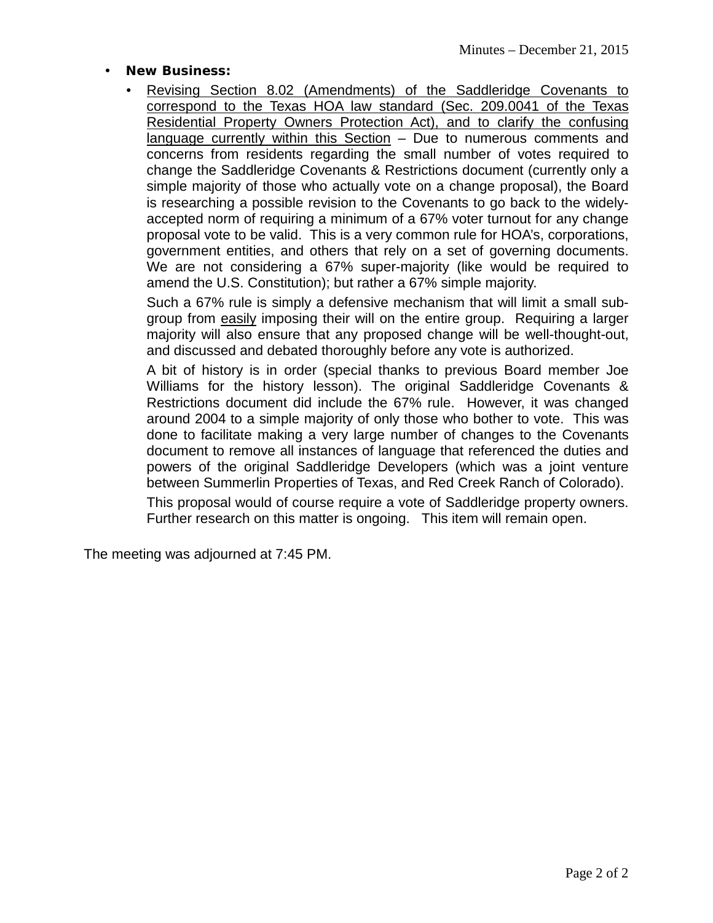- **New Business:**
	- Revising Section 8.02 (Amendments) of the Saddleridge Covenants to correspond to the Texas HOA law standard (Sec. 209.0041 of the Texas Residential Property Owners Protection Act), and to clarify the confusing language currently within this Section – Due to numerous comments and concerns from residents regarding the small number of votes required to change the Saddleridge Covenants & Restrictions document (currently only a simple majority of those who actually vote on a change proposal), the Board is researching a possible revision to the Covenants to go back to the widelyaccepted norm of requiring a minimum of a 67% voter turnout for any change proposal vote to be valid. This is a very common rule for HOA's, corporations, government entities, and others that rely on a set of governing documents. We are not considering a 67% super-majority (like would be required to amend the U.S. Constitution); but rather a 67% simple majority.

Such a 67% rule is simply a defensive mechanism that will limit a small subgroup from easily imposing their will on the entire group. Requiring a larger majority will also ensure that any proposed change will be well-thought-out, and discussed and debated thoroughly before any vote is authorized.

A bit of history is in order (special thanks to previous Board member Joe Williams for the history lesson). The original Saddleridge Covenants & Restrictions document did include the 67% rule. However, it was changed around 2004 to a simple majority of only those who bother to vote. This was done to facilitate making a very large number of changes to the Covenants document to remove all instances of language that referenced the duties and powers of the original Saddleridge Developers (which was a joint venture between Summerlin Properties of Texas, and Red Creek Ranch of Colorado).

This proposal would of course require a vote of Saddleridge property owners. Further research on this matter is ongoing. This item will remain open.

The meeting was adjourned at 7:45 PM.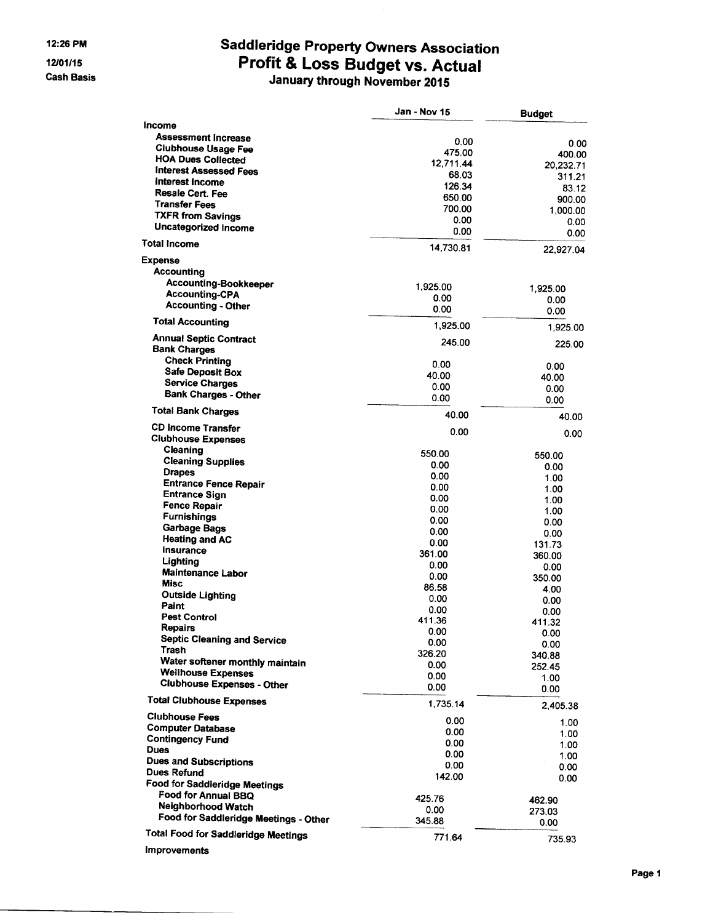#### **Cash Basis**

# Saddleridge Property Owners Association<br>Profit & Loss Budget vs. Actual<br>January through November 2015

|                                            | Jan - Nov 15   | <b>Budget</b>       |
|--------------------------------------------|----------------|---------------------|
| Income                                     |                |                     |
| <b>Assessment Increase</b>                 | 0.00           |                     |
| <b>Clubhouse Usage Fee</b>                 | 475.00         | 0.00                |
| <b>HOA Dues Collected</b>                  | 12,711.44      | 400.00              |
| <b>Interest Assessed Fees</b>              | 68.03          | 20,232.71<br>311.21 |
| Interest Income                            | 126.34         | 83.12               |
| Resale Cert. Fee                           | 650.00         | 900.00              |
| <b>Transfer Fees</b>                       | 700.00         | 1,000.00            |
| <b>TXFR from Savings</b>                   | 0.00           | 0.00                |
| Uncategorized Income                       | 0.00           | 0.00                |
| <b>Total Income</b>                        | 14,730.81      | 22,927.04           |
| <b>Expense</b>                             |                |                     |
| Accounting                                 |                |                     |
| Accounting-Bookkeeper                      | 1,925.00       |                     |
| <b>Accounting-CPA</b>                      | 0.00           | 1,925.00            |
| <b>Accounting - Other</b>                  | 0.00           | 0.00<br>0.00        |
| <b>Total Accounting</b>                    | 1,925.00       |                     |
| <b>Annual Septic Contract</b>              |                | 1,925.00            |
| <b>Bank Charges</b>                        | 245.00         | 225.00              |
| <b>Check Printing</b>                      | 0.00           | 0.00                |
| <b>Safe Deposit Box</b>                    | 40.00          | 40.00               |
| <b>Service Charges</b>                     | 0.00           | 0.00                |
| <b>Bank Charges - Other</b>                | 0.00           | 0.00                |
| <b>Total Bank Charges</b>                  | 40.00          | 40.00               |
| <b>CD Income Transfer</b>                  | 0.00           | 0.00                |
| <b>Clubhouse Expenses</b>                  |                |                     |
| Cleaning                                   | 550.00         | 550.00              |
| <b>Cleaning Supplies</b>                   | 0.00           | 0.00                |
| <b>Drapes</b>                              | 0.00           | 1.00                |
| <b>Entrance Fence Repair</b>               | 0.00           | 1.00                |
| <b>Entrance Sign</b>                       | 0.00           | 1.00                |
| <b>Fence Repair</b>                        | 0.00           | 1.00                |
| <b>Furnishings</b>                         | 0.00           | 0.00                |
| Garbage Bags<br><b>Heating and AC</b>      | 0.00           | 0.00                |
| Insurance                                  | 0.00           | 131.73              |
| Lighting                                   | 361.00         | 360.00              |
| <b>Maintenance Labor</b>                   | 0.00           | 0.00                |
| Misc                                       | 0.00           | 350.00              |
| <b>Outside Lighting</b>                    | 86.58          | 4.00                |
| Paint                                      | 0.00           | 0.00                |
| <b>Pest Control</b>                        | 0.00<br>411.36 | 0.00                |
| Repairs                                    | 0.00           | 411.32              |
| <b>Septic Cleaning and Service</b>         | 0.00           | 0.00<br>0.00        |
| Trash                                      | 326.20         | 340.88              |
| Water softener monthly maintain            | 0.00           | 252.45              |
| <b>Wellhouse Expenses</b>                  | 0.00           | 1.00                |
| <b>Clubhouse Expenses - Other</b>          | 0.00           | 0.00                |
| <b>Total Clubhouse Expenses</b>            | 1,735.14       | 2,405.38            |
| <b>Clubhouse Fees</b>                      | 0.00           |                     |
| <b>Computer Database</b>                   | 0.00           | 1.00                |
| <b>Contingency Fund</b>                    | 0.00           | 1.00<br>1.00        |
| <b>Dues</b>                                | 0.00           | 1.00                |
| <b>Dues and Subscriptions</b>              | 0.00           | 0.00                |
| Dues Refund                                | 142.00         | 0.00                |
| <b>Food for Saddleridge Meetings</b>       |                |                     |
| Food for Annual BBQ                        | 425.76         | 462.90              |
| Neighborhood Watch                         | 0.00           | 273.03              |
| Food for Saddleridge Meetings - Other      | 345.88         | 0.00                |
| <b>Total Food for Saddleridge Meetings</b> | 771.64         | 735.93              |
| <b>Improvements</b>                        |                |                     |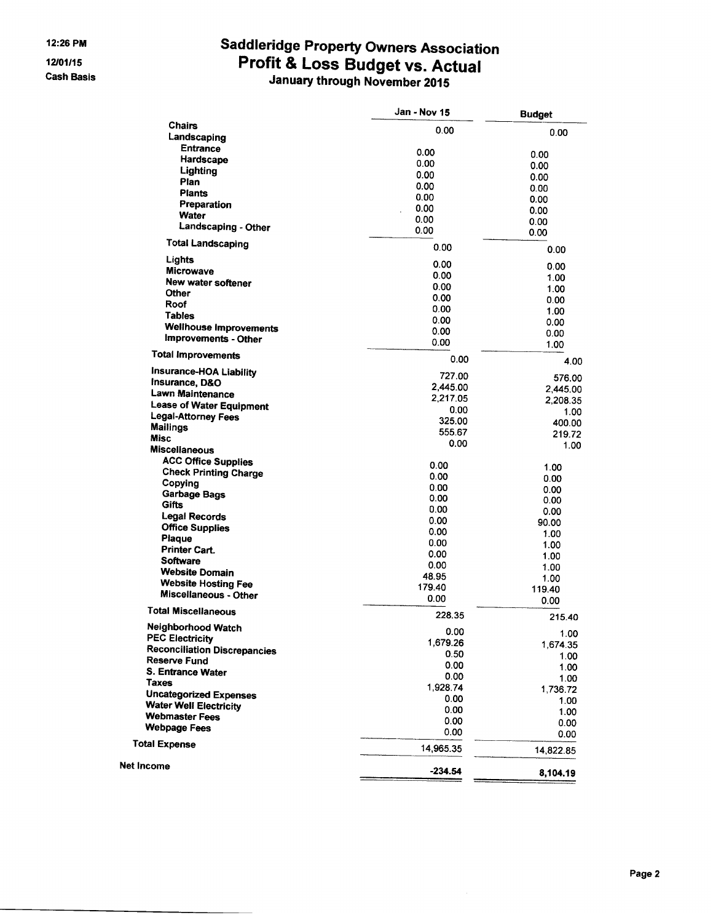12/01/15 **Cash Basis** 

# Saddleridge Property Owners Association<br>Profit & Loss Budget vs. Actual<br>January through November 2015

|                                           | Jan - Nov 15   | <b>Budget</b>     |
|-------------------------------------------|----------------|-------------------|
| Chairs                                    | 0.00           | 0.00              |
| Landscaping                               |                |                   |
| <b>Entrance</b><br>Hardscape              | 0.00           | 0.00              |
| Lighting                                  | 0.00           | 0.00              |
| Plan                                      | 0.00           | 0.00              |
| Plants                                    | 0.00           | 0.00              |
| Preparation                               | 0.00           | 0.00              |
| Water                                     | 0.00           | 0.00              |
| Landscaping - Other                       | 0.00<br>0.00   | 0.00              |
| <b>Total Landscaping</b>                  | 0.00           | 0.00<br>0.00      |
| Lights                                    | 0.00           |                   |
| <b>Microwave</b>                          | 0.00           | 0.00              |
| New water softener                        | 0.00           | 1.00              |
| Other                                     | 0.00           | 1.00<br>0.00      |
| Roof                                      | 0.00           | 1.00              |
| <b>Tables</b>                             | 0.00           | 0.00              |
| <b>Wellhouse Improvements</b>             | 0.00           | 0.00              |
| Improvements - Other                      | 0.00           | 1.00              |
| <b>Total Improvements</b>                 | 0.00           | 4.00              |
| Insurance-HOA Liability<br>Insurance, D&O | 727.00         | 576.00            |
| Lawn Maintenance                          | 2,445.00       | 2,445.00          |
| <b>Lease of Water Equipment</b>           | 2.217.05       | 2,208.35          |
| Legal-Attorney Fees                       | 0.00           | 1.00              |
| <b>Mailings</b>                           | 325.00         | 400.00            |
| <b>Misc</b>                               | 555.67<br>0.00 | 219.72            |
| <b>Miscellaneous</b>                      |                | 1.00              |
| <b>ACC Office Supplies</b>                | 0.00           | 1.00              |
| <b>Check Printing Charge</b>              | 0.00           | 0.00              |
| Copying                                   | 0.00           | 0.00              |
| <b>Garbage Bags</b><br>Gifts              | 0.00           | 0.00              |
| Legal Records                             | 0.00           | 0.00              |
| <b>Office Supplies</b>                    | 0.00           | 90.00             |
| Plaque                                    | 0.00           | 1.00              |
| <b>Printer Cart.</b>                      | 0.00           | 1.00              |
| <b>Software</b>                           | 0.00           | 1.00              |
| <b>Website Domain</b>                     | 0.00<br>48.95  | 1.00              |
| <b>Website Hosting Fee</b>                | 179.40         | 1.00              |
| Miscellaneous - Other                     | 0.00           | 119.40<br>0.00    |
| <b>Total Miscellaneous</b>                | 228.35         | 215.40            |
| Neighborhood Watch                        | 0.00           | 1.00              |
| <b>PEC Electricity</b>                    | 1,679.26       | 1,674.35          |
| <b>Reconciliation Discrepancies</b>       | 0.50           | 1.00              |
| Reserve Fund<br>S. Entrance Water         | 0.00           | 1.00              |
| <b>Taxes</b>                              | 0.00           | 1.00              |
| <b>Uncategorized Expenses</b>             | 1,928.74       | 1,736.72          |
| <b>Water Well Electricity</b>             | 0.00           | 1.00              |
| <b>Webmaster Fees</b>                     | 0.00           | 1.00              |
| <b>Webpage Fees</b>                       | 0.00<br>0.00   | 0.00              |
| <b>Total Expense</b>                      | 14,965.35      | 0.00<br>14,822.85 |
| Net Income                                |                |                   |
|                                           | $-234.54$      | 8,104.19          |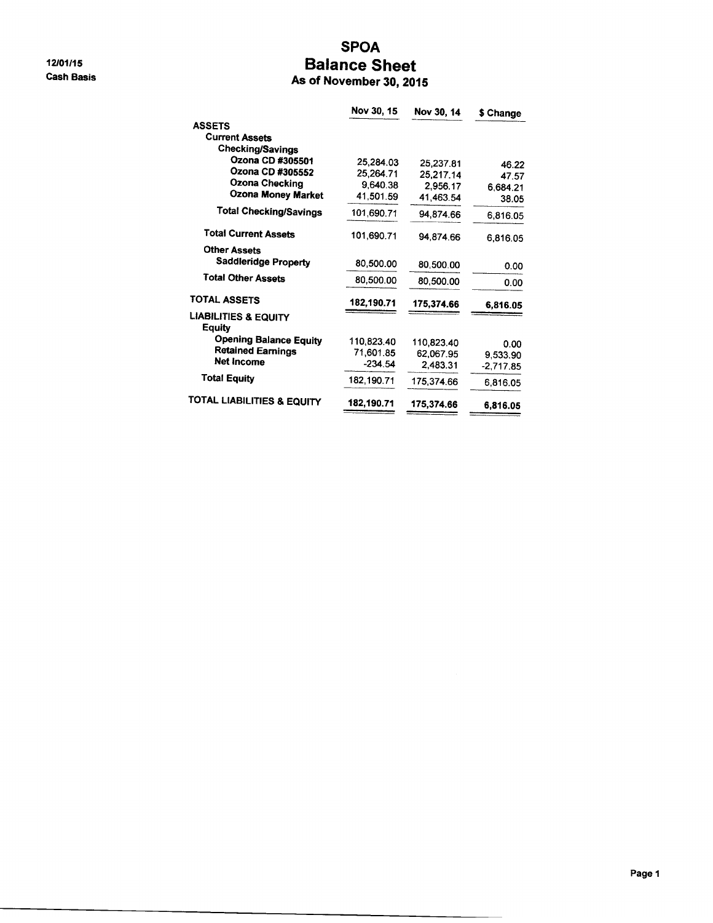12/01/15 **Cash Basis** 

## **SPOA Balance Sheet** As of November 30, 2015

|                                           | Nov 30, 15   | Nov 30, 14 | \$ Change |
|-------------------------------------------|--------------|------------|-----------|
| <b>ASSETS</b>                             |              |            |           |
| <b>Current Assets</b>                     |              |            |           |
| <b>Checking/Savings</b>                   |              |            |           |
| Ozona CD #305501                          | 25,284.03    | 25,237.81  | 46.22     |
| Ozona CD #305552                          | 25,264.71    | 25,217.14  | 47.57     |
| Ozona Checking                            | 9,640.38     | 2,956.17   | 6,684.21  |
| <b>Ozona Money Market</b>                 | 41.501.59    | 41,463.54  | 38.05     |
| <b>Total Checking/Savings</b>             | 101,690.71   | 94.874.66  | 6,816.05  |
| <b>Total Current Assets</b>               | 101,690.71   | 94,874.66  | 6,816.05  |
| <b>Other Assets</b>                       |              |            |           |
| <b>Saddleridge Property</b>               | 80.500.00    | 80,500.00  | 0.00      |
| <b>Total Other Assets</b>                 | 80,500.00    | 80,500,00  | 0.00      |
| <b>TOTAL ASSETS</b>                       | 182,190.71   | 175,374.66 | 6,816.05  |
| <b>LIABILITIES &amp; EQUITY</b><br>Eauitv |              |            |           |
| <b>Opening Balance Equity</b>             | 110,823.40   | 110,823.40 | 0.00      |
| <b>Retained Earnings</b>                  | 71.601.85    | 62,067.95  | 9,533.90  |
| <b>Net Income</b>                         | $-234.54$    | 2.483.31   | -2,717.85 |
| <b>Total Equity</b>                       | 182, 190, 71 | 175 374 66 | 6,816.05  |
| <b>TOTAL LIABILITIES &amp; EQUITY</b>     | 182,190.71   | 175.374.66 | 6,816.05  |